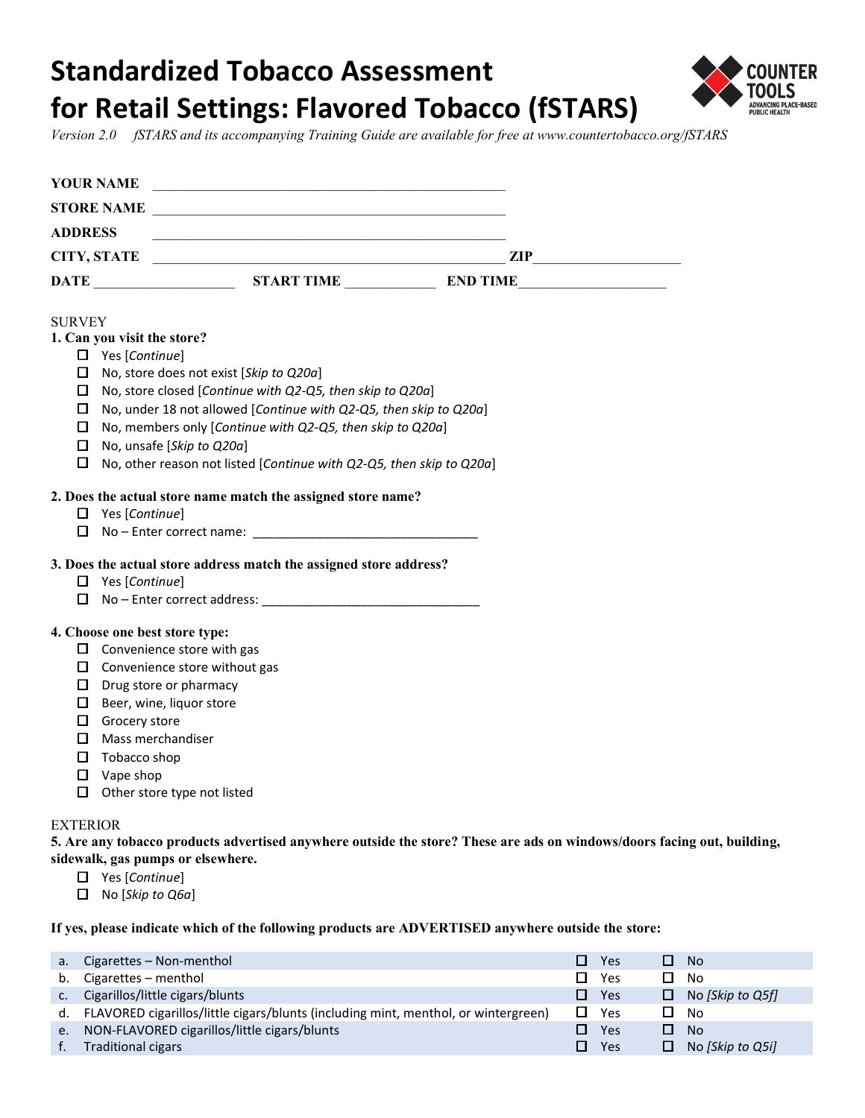# **Standardized Tobacco Assessment for Retail Settings: Flavored Tobacco (fSTARS)**



*Version 2.0 fSTARS and its accompanying Training Guide are available for free at<www.countertobacco.org/fSTARS>*

|                 | <b>YOUR NAME</b>            |                                                                     | <u> 1980 - Johann Stoff, deutscher Stoff, der Stoff, der Stoff, der Stoff, der Stoff, der Stoff, der Stoff, der S</u> |                                                                                                                         |
|-----------------|-----------------------------|---------------------------------------------------------------------|-----------------------------------------------------------------------------------------------------------------------|-------------------------------------------------------------------------------------------------------------------------|
|                 |                             |                                                                     |                                                                                                                       |                                                                                                                         |
| <b>ADDRESS</b>  |                             |                                                                     |                                                                                                                       |                                                                                                                         |
|                 |                             |                                                                     |                                                                                                                       |                                                                                                                         |
|                 |                             |                                                                     |                                                                                                                       |                                                                                                                         |
| <b>SURVEY</b>   |                             |                                                                     |                                                                                                                       |                                                                                                                         |
|                 | 1. Can you visit the store? |                                                                     |                                                                                                                       |                                                                                                                         |
|                 | $\Box$ Yes [Continue]       |                                                                     |                                                                                                                       |                                                                                                                         |
|                 |                             | $\Box$ No, store does not exist [Skip to Q20a]                      |                                                                                                                       |                                                                                                                         |
|                 |                             |                                                                     | $\Box$ No, store closed [Continue with Q2-Q5, then skip to Q20a]                                                      |                                                                                                                         |
|                 |                             |                                                                     | $\Box$ No, under 18 not allowed [Continue with Q2-Q5, then skip to Q20a]                                              |                                                                                                                         |
|                 |                             |                                                                     | $\square$ No, members only [Continue with Q2-Q5, then skip to Q20a]                                                   |                                                                                                                         |
|                 |                             | $\Box$ No, unsafe [Skip to Q20a]                                    |                                                                                                                       |                                                                                                                         |
|                 |                             |                                                                     | $\Box$ No, other reason not listed [Continue with Q2-Q5, then skip to Q20a]                                           |                                                                                                                         |
|                 |                             |                                                                     | 2. Does the actual store name match the assigned store name?                                                          |                                                                                                                         |
|                 | $\Box$ Yes [Continue]       |                                                                     |                                                                                                                       |                                                                                                                         |
|                 |                             |                                                                     |                                                                                                                       |                                                                                                                         |
|                 |                             |                                                                     |                                                                                                                       |                                                                                                                         |
|                 |                             |                                                                     | 3. Does the actual store address match the assigned store address?                                                    |                                                                                                                         |
|                 | $\Box$ Yes [Continue]       |                                                                     |                                                                                                                       |                                                                                                                         |
|                 |                             |                                                                     | $\Box$ No – Enter correct address:                                                                                    |                                                                                                                         |
|                 |                             |                                                                     |                                                                                                                       |                                                                                                                         |
|                 |                             | 4. Choose one best store type:<br>$\Box$ Convenience store with gas |                                                                                                                       |                                                                                                                         |
|                 |                             | $\Box$ Convenience store without gas                                |                                                                                                                       |                                                                                                                         |
|                 |                             | $\Box$ Drug store or pharmacy                                       |                                                                                                                       |                                                                                                                         |
|                 |                             | $\Box$ Beer, wine, liquor store                                     |                                                                                                                       |                                                                                                                         |
|                 | $\Box$ Grocery store        |                                                                     |                                                                                                                       |                                                                                                                         |
|                 | $\Box$ Mass merchandiser    |                                                                     |                                                                                                                       |                                                                                                                         |
|                 | $\Box$ Tobacco shop         |                                                                     |                                                                                                                       |                                                                                                                         |
|                 | $\Box$ Vape shop            |                                                                     |                                                                                                                       |                                                                                                                         |
|                 |                             | $\Box$ Other store type not listed                                  |                                                                                                                       |                                                                                                                         |
|                 |                             |                                                                     |                                                                                                                       |                                                                                                                         |
| <b>EXTERIOR</b> |                             |                                                                     |                                                                                                                       |                                                                                                                         |
|                 |                             |                                                                     |                                                                                                                       | 5. Are any tobacco products advertised anywhere outside the store? These are ads on windows/doors facing out, building, |
|                 |                             | sidewalk, gas pumps or elsewhere.                                   |                                                                                                                       |                                                                                                                         |
|                 | $\Box$ Yes [Continue]       |                                                                     |                                                                                                                       |                                                                                                                         |
|                 | $\Box$ No [Skip to Q6a]     |                                                                     |                                                                                                                       |                                                                                                                         |

 **If yes, please indicate which of the following products are ADVERTISED anywhere outside the store:** 

|    | Cigarettes - Non-menthol                                                           | l I<br>Yes        | - No                  |
|----|------------------------------------------------------------------------------------|-------------------|-----------------------|
| b. | Cigarettes – menthol                                                               | П<br>Yes          | No                    |
|    | Cigarillos/little cigars/blunts                                                    | <b>III</b><br>Yes | No [Skip to Q5f]<br>О |
| d. | FLAVORED cigarillos/little cigars/blunts (including mint, menthol, or wintergreen) | Yes               | No.                   |
| e. | NON-FLAVORED cigarillos/little cigars/blunts                                       | Yes               | <b>No</b>             |
|    | <b>Traditional cigars</b>                                                          | п<br>Yes          | No [Skip to Q5i]      |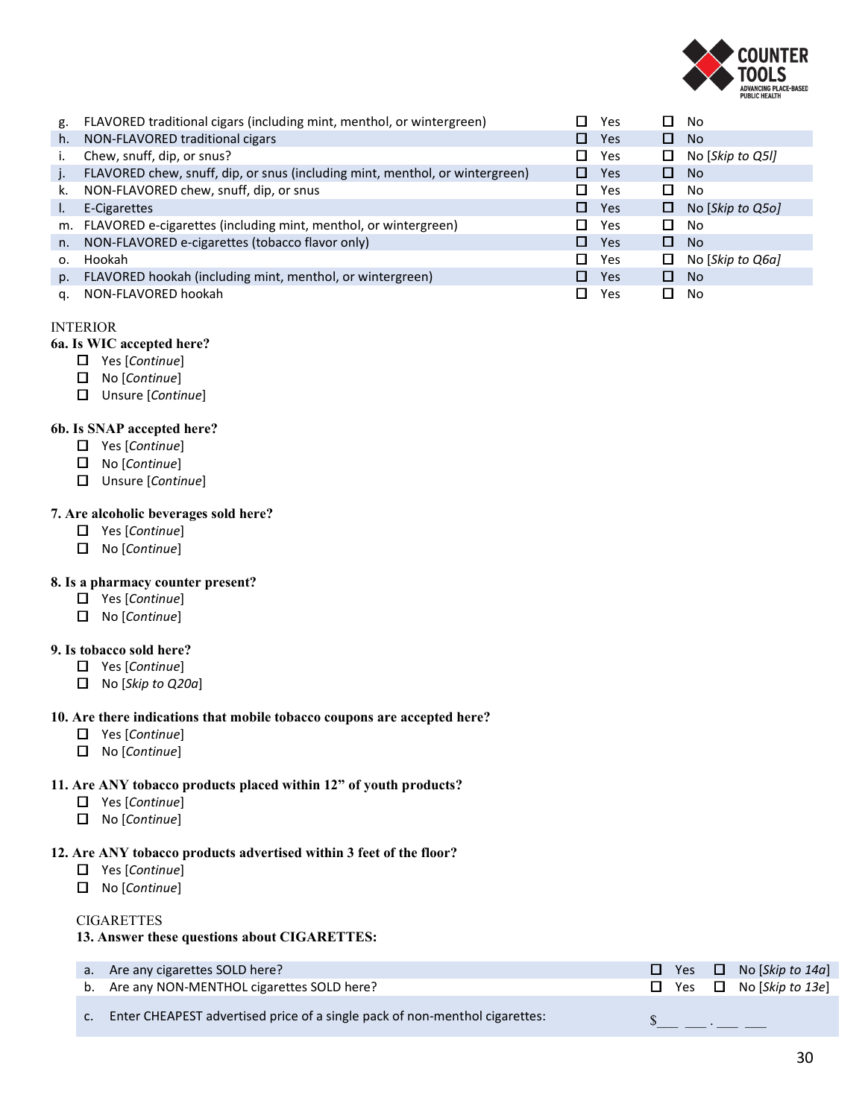

| g. | FLAVORED traditional cigars (including mint, menthol, or wintergreen)        | Yes                         | П      | No               |
|----|------------------------------------------------------------------------------|-----------------------------|--------|------------------|
| h. | NON-FLAVORED traditional cigars                                              | Yes<br>O                    | 0.     | <b>No</b>        |
|    | Chew, snuff, dip, or snus?                                                   | Yes<br>Π                    | $\Box$ | No [Skip to Q5I] |
|    | FLAVORED chew, snuff, dip, or snus (including mint, menthol, or wintergreen) | Yes<br>ш                    | П.     | <b>No</b>        |
| k. | NON-FLAVORED chew, snuff, dip, or snus                                       | Yes                         | П      | No               |
| ı. | E-Cigarettes                                                                 | П.<br>Yes                   | 0      | No [Skip to Q5o] |
|    | m. FLAVORED e-cigarettes (including mint, menthol, or wintergreen)           | Yes                         | П      | No               |
| n. | NON-FLAVORED e-cigarettes (tobacco flavor only)                              | Yes<br><b>Albert Street</b> | П      | <b>No</b>        |
| 0. | Hookah                                                                       | П.<br>Yes                   | 0      | No [Skip to Q6a] |
| p. | FLAVORED hookah (including mint, menthol, or wintergreen)                    | Yes<br>l I                  | 0      | <b>No</b>        |
| a. | NON-FLAVORED hookah                                                          | Yes                         | П      | No               |

# INTERIOR

# **6a. Is WIC accepted here?**

- Yes [*Continue*]
- No [*Continue*]
- Unsure [*Continue*]

# **6b. Is SNAP accepted here?**

- Yes [*Continue*]
- No [*Continue*]
- Unsure [*Continue*]

# **7. Are alcoholic beverages sold here?**

- Yes [*Continue*]
- No [*Continue*]

#### **8. Is a pharmacy counter present?**

- Yes [*Continue*]
- No [*Continue*]

# **9. Is tobacco sold here?**

- Yes [*Continue*]
- No [*Skip to Q20a*]

#### **10. Are there indications that mobile tobacco coupons are accepted here?**

- Yes [*Continue*]
- No [*Continue*]

# **11. Are ANY tobacco products placed within 12" of youth products?**

- Yes [*Continue*]
- No [*Continue*]

#### **12. Are ANY tobacco products advertised within 3 feet of the floor?**

- Yes [*Continue*]
- No [*Continue*]

#### **CIGARETTES**

# **13. Answer these questions about CIGARETTES:**

| a. Are any cigarettes SOLD here?                                            |  | $\Box$ Yes $\Box$ No [Skip to 14a] |
|-----------------------------------------------------------------------------|--|------------------------------------|
| b. Are any NON-MENTHOL cigarettes SOLD here?                                |  | $\Box$ Yes $\Box$ No [Skip to 13e] |
| Enter CHEAPEST advertised price of a single pack of non-menthol cigarettes: |  |                                    |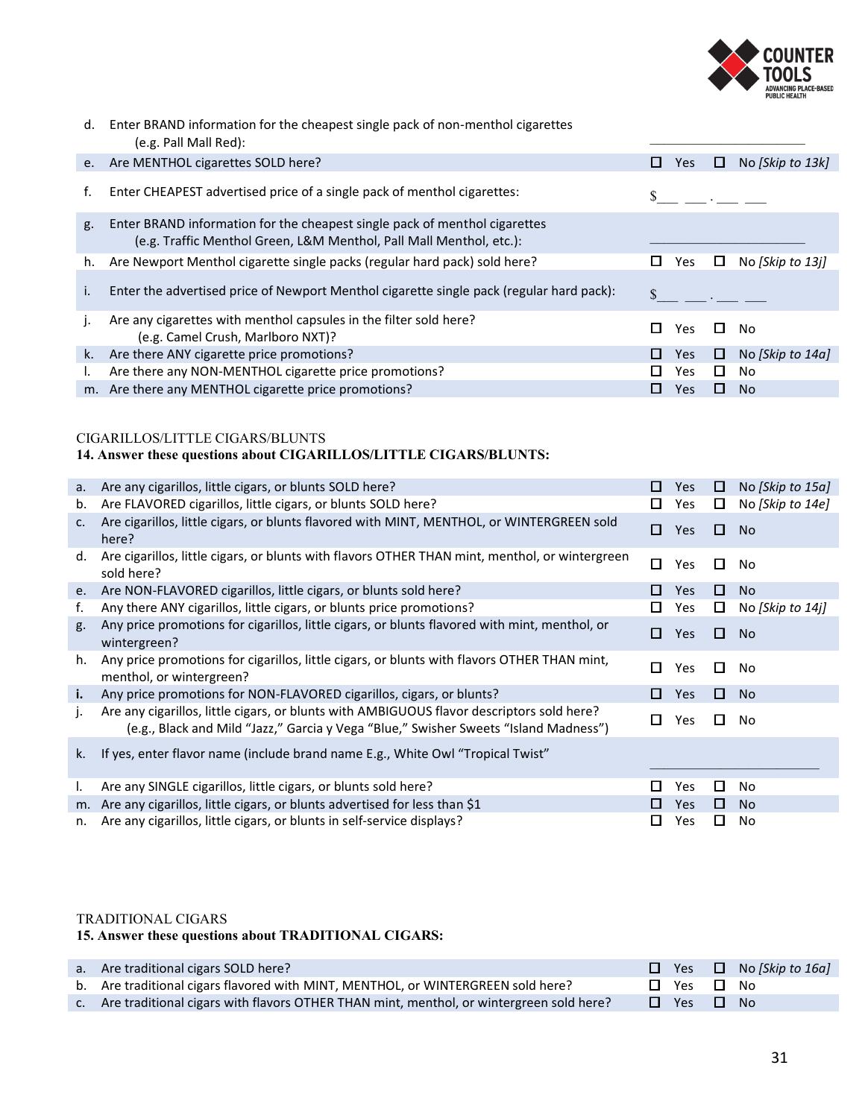

 $(e.g. \text{ Paul Mall Red}):$ d. Enter BRAND information for the cheapest single pack of non-menthol cigarettes

| e. | Are MENTHOL cigarettes SOLD here?                                                                                                                 | ш | Yes  | ப | No [Skip to 13k] |
|----|---------------------------------------------------------------------------------------------------------------------------------------------------|---|------|---|------------------|
| f. | Enter CHEAPEST advertised price of a single pack of menthol cigarettes:                                                                           |   |      |   |                  |
| g. | Enter BRAND information for the cheapest single pack of menthol cigarettes<br>(e.g. Traffic Menthol Green, L&M Menthol, Pall Mall Menthol, etc.): |   |      |   |                  |
| h. | Are Newport Menthol cigarette single packs (regular hard pack) sold here?                                                                         |   | Yes. | ш | No [Skip to 13j] |
| i. | Enter the advertised price of Newport Menthol cigarette single pack (regular hard pack):                                                          |   |      |   |                  |
|    | Are any cigarettes with menthol capsules in the filter sold here?<br>(e.g. Camel Crush, Marlboro NXT)?                                            | Ш | Yes  | ш | No               |
| k. | Are there ANY cigarette price promotions?                                                                                                         | Ш | Yes  | ш | No [Skip to 14a] |
|    | Are there any NON-MENTHOL cigarette price promotions?                                                                                             |   | Yes. | П | No               |
|    | m. Are there any MENTHOL cigarette price promotions?                                                                                              |   | Yes  | ப | N <sub>o</sub>   |

# CIGARILLOS/LITTLE CIGARS/BLUNTS

#### **14. Answer these questions about CIGARILLOS/LITTLE CIGARS/BLUNTS:**

| а.          | Are any cigarillos, little cigars, or blunts SOLD here?                                                                                                                           | ш   | Yes        | □      | No [Skip to 15a] |
|-------------|-----------------------------------------------------------------------------------------------------------------------------------------------------------------------------------|-----|------------|--------|------------------|
| b.          | Are FLAVORED cigarillos, little cigars, or blunts SOLD here?                                                                                                                      | ப   | Yes        | ш      | No [Skip to 14e] |
| $c_{\cdot}$ | Are cigarillos, little cigars, or blunts flavored with MINT, MENTHOL, or WINTERGREEN sold<br>here?                                                                                | 0   | Yes        | 0,     | <b>No</b>        |
| d.          | Are cigarillos, little cigars, or blunts with flavors OTHER THAN mint, menthol, or wintergreen<br>sold here?                                                                      | П   | Yes        | $\Box$ | <b>No</b>        |
| e.          | Are NON-FLAVORED cigarillos, little cigars, or blunts sold here?                                                                                                                  | ш   | Yes        | 0      | <b>No</b>        |
| f.          | Any there ANY cigarillos, little cigars, or blunts price promotions?                                                                                                              | ப   | Yes        | $\Box$ | No [Skip to 14j] |
| g.          | Any price promotions for cigarillos, little cigars, or blunts flavored with mint, menthol, or<br>wintergreen?                                                                     | п   | Yes        | $\Box$ | <b>No</b>        |
| h.          | Any price promotions for cigarillos, little cigars, or blunts with flavors OTHER THAN mint,<br>menthol, or wintergreen?                                                           | П   | Yes        | □      | No               |
| i.          | Any price promotions for NON-FLAVORED cigarillos, cigars, or blunts?                                                                                                              | П   | Yes        | 0      | <b>No</b>        |
| j.          | Are any cigarillos, little cigars, or blunts with AMBIGUOUS flavor descriptors sold here?<br>(e.g., Black and Mild "Jazz," Garcia y Vega "Blue," Swisher Sweets "Island Madness") | П   | Yes        | П.     | No               |
| k.          | If yes, enter flavor name (include brand name E.g., White Owl "Tropical Twist"                                                                                                    |     |            |        |                  |
| L.          | Are any SINGLE cigarillos, little cigars, or blunts sold here?                                                                                                                    | l I | Yes        | $\Box$ | <b>No</b>        |
| m.          | Are any cigarillos, little cigars, or blunts advertised for less than \$1                                                                                                         | l I | <b>Yes</b> | 0      | <b>No</b>        |
|             | n. Are any cigarillos, little cigars, or blunts in self-service displays?                                                                                                         | ப   | Yes        | ப      | No               |

#### TRADITIONAL CIGARS

#### **15. Answer these questions about TRADITIONAL CIGARS:**

| a. Are traditional cigars SOLD here?                                                       |                            | $\Box$ Yes $\Box$ No [Skip to 16a] |
|--------------------------------------------------------------------------------------------|----------------------------|------------------------------------|
| b. Are traditional cigars flavored with MINT, MENTHOL, or WINTERGREEN sold here?           | $\Box$ Yes $\Box$ No       |                                    |
| c. Are traditional cigars with flavors OTHER THAN mint, menthol, or wintergreen sold here? | $\square$ Yes $\square$ No |                                    |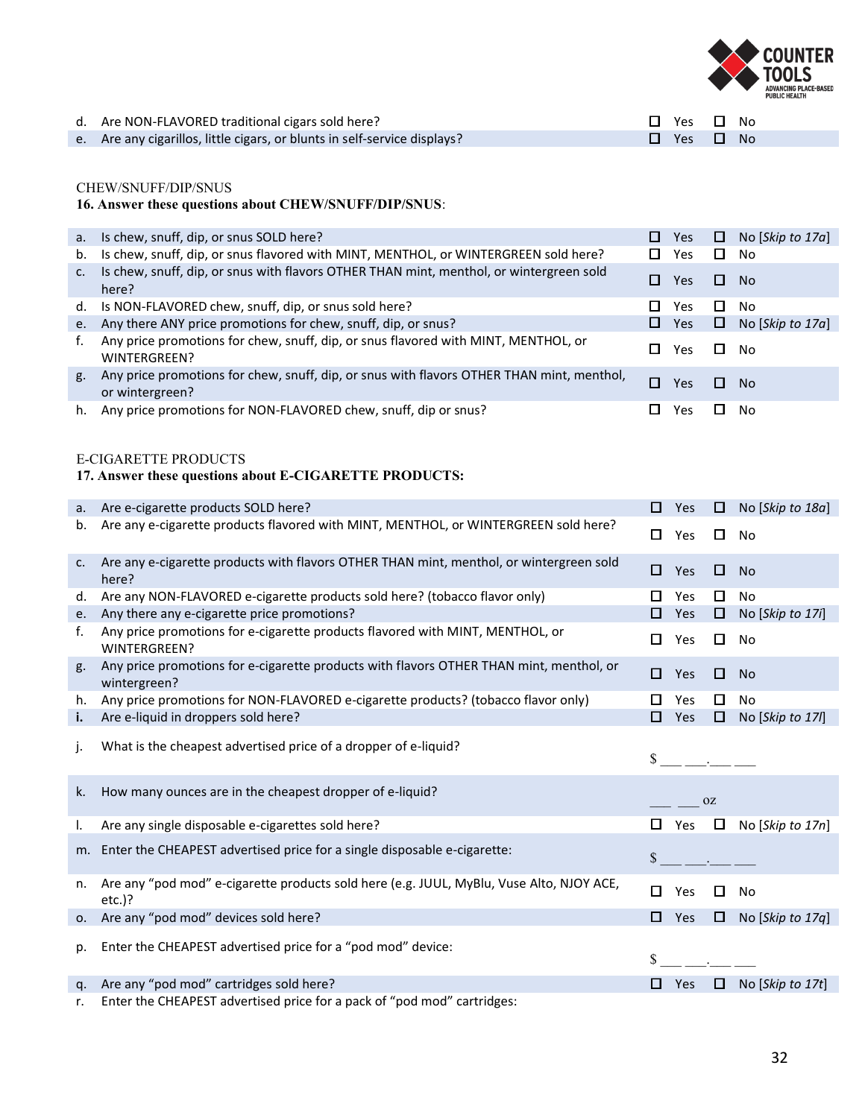

| d. Are NON-FLAVORED traditional cigars sold here?                         | $\Box$ Yes $\Box$ No |  |
|---------------------------------------------------------------------------|----------------------|--|
| e. Are any cigarillos, little cigars, or blunts in self-service displays? | $\Box$ Yes $\Box$ No |  |

## CHEW/SNUFF/DIP/SNUS

# **16. Answer these questions about CHEW/SNUFF/DIP/SNUS**:

|    | a. Is chew, snuff, dip, or snus SOLD here?                                                                   | ш   | Yes        |        | $\Box$ No [Skip to 17a] |
|----|--------------------------------------------------------------------------------------------------------------|-----|------------|--------|-------------------------|
| b. | Is chew, snuff, dip, or snus flavored with MINT, MENTHOL, or WINTERGREEN sold here?                          | П   | Yes        | □      | No                      |
| C. | Is chew, snuff, dip, or snus with flavors OTHER THAN mint, menthol, or wintergreen sold<br>here?             | 1 I | Yes        | $\Box$ | N <sub>0</sub>          |
|    | d. Is NON-FLAVORED chew, snuff, dip, or snus sold here?                                                      |     | Yes.       | ш      | N <sub>0</sub>          |
|    | e. Any there ANY price promotions for chew, snuff, dip, or snus?                                             |     | <b>Yes</b> | 0      | No [Skip to 17a]        |
| f. | Any price promotions for chew, snuff, dip, or snus flavored with MINT, MENTHOL, or<br>WINTERGREEN?           |     | Yes.       | Ш      | No.                     |
| g. | Any price promotions for chew, snuff, dip, or snus with flavors OTHER THAN mint, menthol,<br>or wintergreen? |     | <b>Yes</b> | ш      | - No                    |
| h. | Any price promotions for NON-FLAVORED chew, snuff, dip or snus?                                              |     | Yes        | l I    | No                      |

#### E-CIGARETTE PRODUCTS

#### **17. Answer these questions about E-CIGARETTE PRODUCTS:**

| a.             | Are e-cigarette products SOLD here?                                                                     | □  | Yes           | $\Box$ | No [Skip to 18a] |
|----------------|---------------------------------------------------------------------------------------------------------|----|---------------|--------|------------------|
| b.             | Are any e-cigarette products flavored with MINT, MENTHOL, or WINTERGREEN sold here?                     | □  | Yes           | 0      | <b>No</b>        |
| C <sub>1</sub> | Are any e-cigarette products with flavors OTHER THAN mint, menthol, or wintergreen sold<br>here?        | ◻  | Yes           | □      | <b>No</b>        |
| d.             | Are any NON-FLAVORED e-cigarette products sold here? (tobacco flavor only)                              | □  | Yes           | □      | No               |
| e.             | Any there any e-cigarette price promotions?                                                             |    | Yes           | $\Box$ | No [Skip to 17i] |
| f.             | Any price promotions for e-cigarette products flavored with MINT, MENTHOL, or<br>WINTERGREEN?           | П  | Yes           | $\Box$ | No               |
| g.             | Any price promotions for e-cigarette products with flavors OTHER THAN mint, menthol, or<br>wintergreen? | п  | Yes           | O      | <b>No</b>        |
| h.             | Any price promotions for NON-FLAVORED e-cigarette products? (tobacco flavor only)                       |    | Yes           | 0      | <b>No</b>        |
| i.             | Are e-liquid in droppers sold here?                                                                     | □  | Yes           | $\Box$ | No [Skip to 17/] |
|                |                                                                                                         |    |               |        |                  |
| j.             | What is the cheapest advertised price of a dropper of e-liquid?                                         |    | $\sim$ $\sim$ |        |                  |
| k.             | How many ounces are in the cheapest dropper of e-liquid?                                                |    |               | 0Z     |                  |
| Ι.             | Are any single disposable e-cigarettes sold here?                                                       |    | Yes           | $\Box$ | No [Skip to 17n] |
|                | m. Enter the CHEAPEST advertised price for a single disposable e-cigarette:                             | \$ |               |        |                  |
| n.             | Are any "pod mod" e-cigarette products sold here (e.g. JUUL, MyBlu, Vuse Alto, NJOY ACE,<br>$etc.$ )?   | п  | Yes           | П      | No               |
|                | o. Are any "pod mod" devices sold here?                                                                 | □  | Yes           | O.     | No [Skip to 17q] |
| p.             | Enter the CHEAPEST advertised price for a "pod mod" device:                                             |    |               |        |                  |

r. Enter the CHEAPEST advertised price for a pack of "pod mod" cartridges: